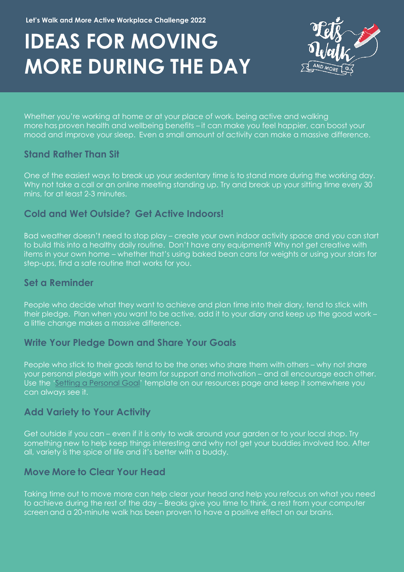# **IDEAS FOR MOVING MORE DURING THE DAY**



Whether you're working at home or at your place of work, being active and walking more has proven health and wellbeing benefits – it can make you feel happier, can boost your mood and improve your sleep. Even a small amount of activity can make a massive difference.

#### **Stand Rather Than Sit**

One of the easiest ways to break up your sedentary time is to stand more during the working day. Why not take a call or an online meeting standing up. Try and break up your sitting time every 30 mins, for at least 2-3 minutes.

#### **Cold and Wet Outside? Get Active Indoors!**

Bad weather doesn't need to stop play – create your own indoor activity space and you can start to build this into a healthy daily routine. Don't have any equipment? Why not get creative with items in your own home – whether that's using baked bean cans for weights or using your stairs for step-ups, find a safe routine that works for you.

### **Set a Reminder**

People who decide what they want to achieve and plan time into their diary, tend to stick with their pledge. Plan when you want to be active, add it to your diary and keep up the good work – a little change makes a massive difference.

#### **Write Your Pledge Down and Share Your Goals**

People who stick to their goals tend to be the ones who share them with others – why not share your personal pledge with your team for support and motivation – and all encourage each other. Use the ['Setting a Personal Goal'](https://www.activedevon.org/lets-walk-and-more-challenge-resources-to-support-you-your-team-and-workplace/) template on our resources page and keep it somewhere you can always see it.

## **Add Variety to Your Activity**

Get outside if you can – even if it is only to walk around your garden or to your local shop. Try something new to help keep things interesting and why not get your buddies involved too. After all, variety is the spice of life and it's better with a buddy.

## **Move More to Clear Your Head**

Taking time out to move more can help clear your head and help you refocus on what you need to achieve during the rest of the day – Breaks give you time to think, a rest from your computer screen and a 20-minute walk has been proven to have a positive effect on our brains.